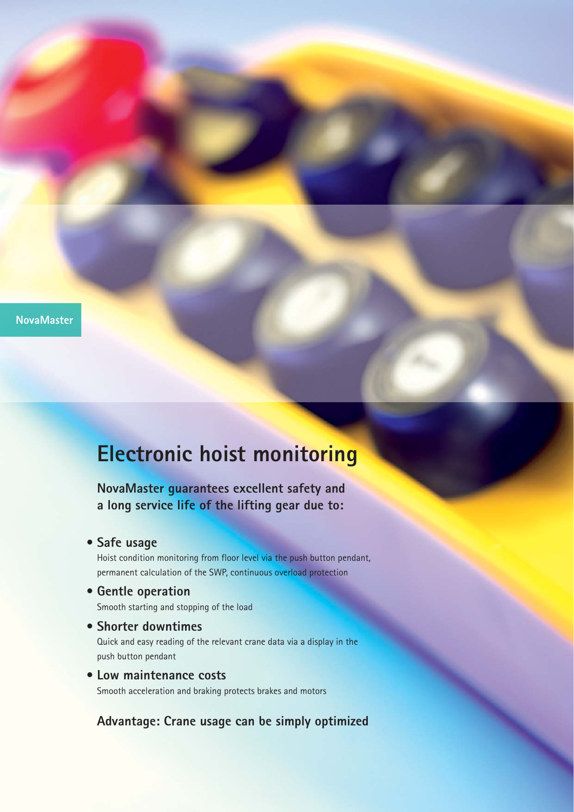**NovaMaster**

## **Electronic hoist monitoring**

**NovaMaster guarantees excellent safety and a long service life of the lifting gear due to:**

**• Safe usage**

Hoist condition monitoring from floor level via the push button pendant, permanent calculation of the SWP, continuous overload protection

- **Gentle operation** Smooth starting and stopping of the load
- **Shorter downtimes** Quick and easy reading of the relevant crane data via a display in the push button pendant
- **Low maintenance costs** Smooth acceleration and braking protects brakes and motors

**Advantage: Crane usage can be simply optimized**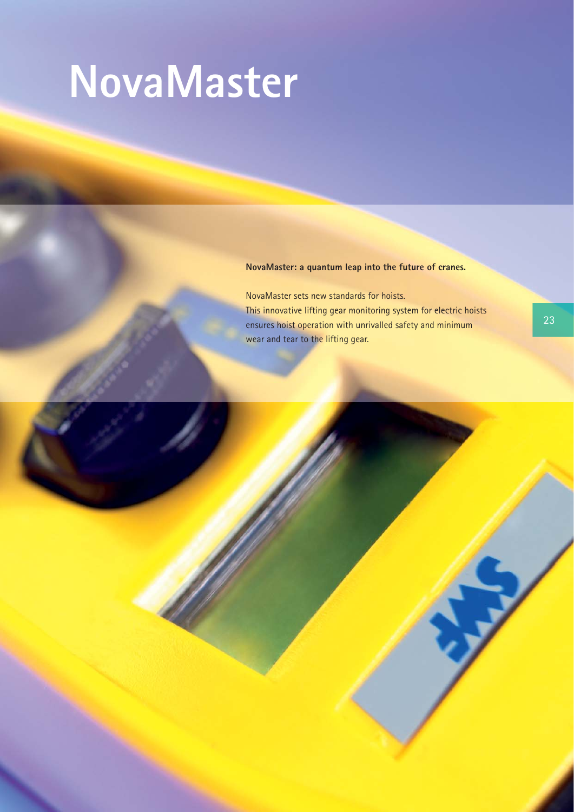## **NovaMaster**

## **NovaMaster: a quantum leap into the future of cranes.**

NovaMaster sets new standards for hoists. This innovative lifting gear monitoring system for electric hoists ensures hoist operation with unrivalled safety and minimum wear and tear to the lifting gear.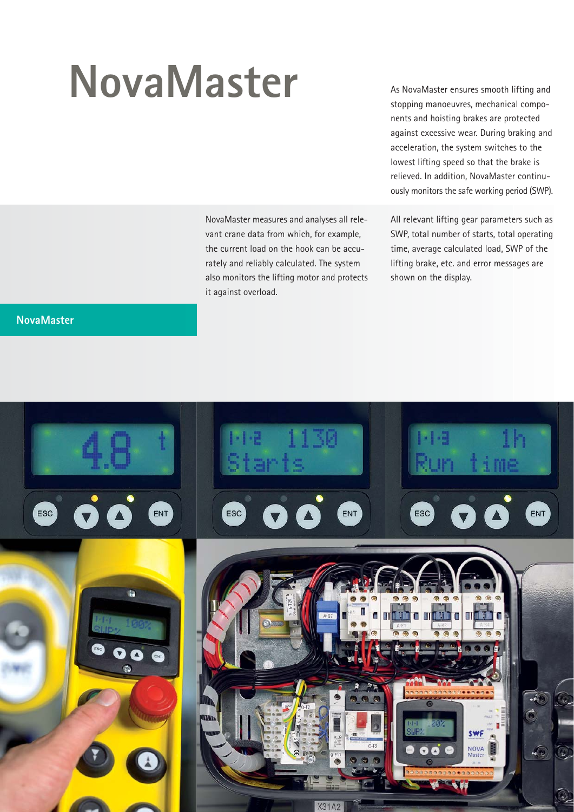## **NovaMaster**

NovaMaster measures and analyses all relevant crane data from which, for example, the current load on the hook can be accurately and reliably calculated. The system also monitors the lifting motor and protects it against overload.

**NovaMaster**

As NovaMaster ensures smooth lifting and stopping manoeuvres, mechanical components and hoisting brakes are protected against excessive wear. During braking and acceleration, the system switches to the lowest lifting speed so that the brake is relieved. In addition, NovaMaster continuously monitors the safe working period (SWP).

All relevant lifting gear parameters such as SWP, total number of starts, total operating time, average calculated load, SWP of the lifting brake, etc. and error messages are shown on the display.